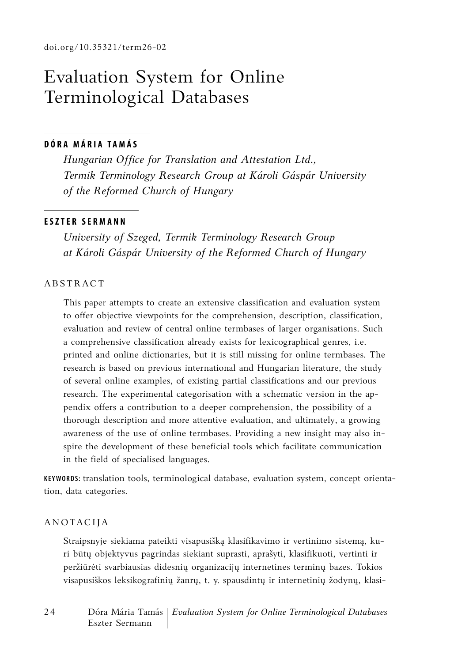# Evaluation System for Online Terminological Databases

#### **D Ó R A M Á R I A T A M Á S**

*Hungarian Office for Translation and Attestation Ltd., Termik Terminology Research Group at Károli Gáspár University of the Reformed Church of Hungary*

#### **ESZTER SERMANN**

*University of Szeged, Termik Terminology Research Group at Károli Gáspár University of the Reformed Church of Hungary*

#### **ABSTRACT**

This paper attempts to create an extensive classification and evaluation system to offer objective viewpoints for the comprehension, description, classification, evaluation and review of central online termbases of larger organisations. Such a comprehensive classification already exists for lexicographical genres, i.e. printed and online dictionaries, but it is still missing for online termbases. The research is based on previous international and Hungarian literature, the study of several online examples, of existing partial classifications and our previous research. The experimental categorisation with a schematic version in the appendix offers a contribution to a deeper comprehension, the possibility of a thorough description and more attentive evaluation, and ultimately, a growing awareness of the use of online termbases. Providing a new insight may also inspire the development of these beneficial tools which facilitate communication in the field of specialised languages.

**Keywords:** translation tools, terminological database, evaluation system, concept orientation, data categories.

#### **ANOTACIJA**

Straipsnyje siekiama pateikti visapusišką klasifikavimo ir vertinimo sistemą, kuri būtų objektyvus pagrindas siekiant suprasti, aprašyti, klasifikuoti, vertinti ir peržiūrėti svarbiausias didesnių organizacijų internetines terminų bazes. Tokios visapusiškos leksikografinių žanrų, t. y. spausdintų ir internetinių žodynų, klasi-

2 4 Dóra Mária Tamás *Evaluation System for Online Terminological Databases* Eszter Sermann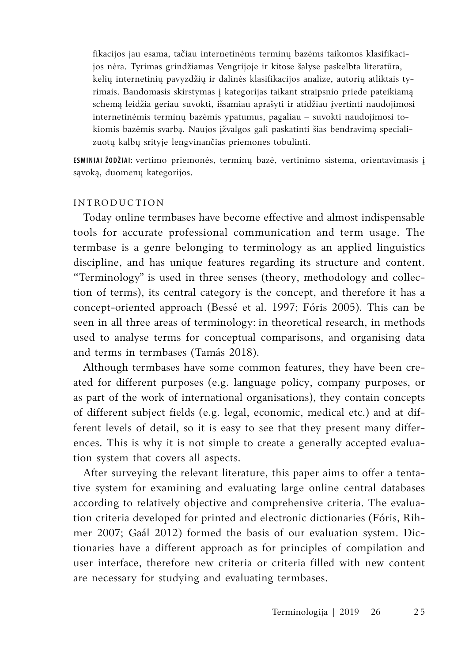fikacijos jau esama, tačiau internetinėms terminų bazėms taikomos klasifikacijos nėra. Tyrimas grindžiamas Vengrijoje ir kitose šalyse paskelbta literatūra, kelių internetinių pavyzdžių ir dalinės klasifikacijos analize, autorių atliktais tyrimais. Bandomasis skirstymas į kategorijas taikant straipsnio priede pateikiamą schemą leidžia geriau suvokti, išsamiau aprašyti ir atidžiau įvertinti naudojimosi internetinėmis terminų bazėmis ypatumus, pagaliau – suvokti naudojimosi tokiomis bazėmis svarbą. Naujos įžvalgos gali paskatinti šias bendravimą specializuotų kalbų srityje lengvinančias priemones tobulinti.

**Esminiai žodžiai:** vertimo priemonės, terminų bazė, vertinimo sistema, orientavimasis į sąvoką, duomenų kategorijos.

#### INTRODUCTION

Today online termbases have become effective and almost indispensable tools for accurate professional communication and term usage. The termbase is a genre belonging to terminology as an applied linguistics discipline, and has unique features regarding its structure and content. "Terminology" is used in three senses (theory, methodology and collection of terms), its central category is the concept, and therefore it has a concept-oriented approach (Bessé et al. 1997; Fóris 2005). This can be seen in all three areas of terminology: in theoretical research, in methods used to analyse terms for conceptual comparisons, and organising data and terms in termbases (Tamás 2018).

Although termbases have some common features, they have been created for different purposes (e.g. language policy, company purposes, or as part of the work of international organisations), they contain concepts of different subject fields (e.g. legal, economic, medical etc.) and at different levels of detail, so it is easy to see that they present many differences. This is why it is not simple to create a generally accepted evaluation system that covers all aspects.

After surveying the relevant literature, this paper aims to offer a tentative system for examining and evaluating large online central databases according to relatively objective and comprehensive criteria. The evaluation criteria developed for printed and electronic dictionaries (Fóris, Rihmer 2007; Gaál 2012) formed the basis of our evaluation system. Dictionaries have a different approach as for principles of compilation and user interface, therefore new criteria or criteria filled with new content are necessary for studying and evaluating termbases.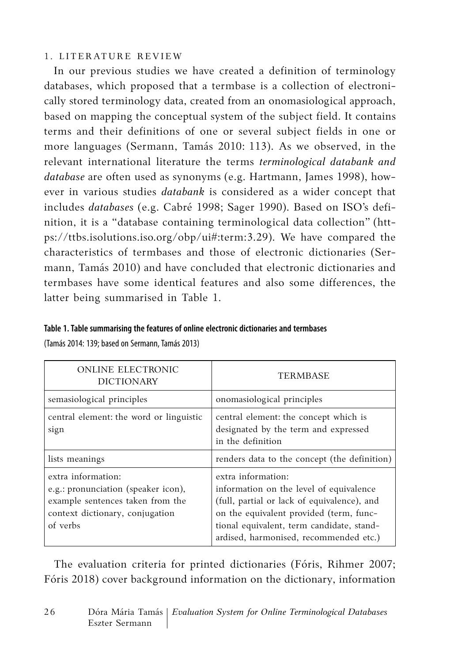## 1. LITERATURE REVIEW

In our previous studies we have created a definition of terminology databases, which proposed that a termbase is a collection of electronically stored terminology data, created from an onomasiological approach, based on mapping the conceptual system of the subject field. It contains terms and their definitions of one or several subject fields in one or more languages (Sermann, Tamás 2010: 113). As we observed, in the relevant international literature the terms *terminological databank and database* are often used as synonyms (e.g. Hartmann, James 1998), however in various studies *databank* is considered as a wider concept that includes *databases* (e.g. Cabré 1998; Sager 1990). Based on ISO's definition, it is a "database containing terminological data collection" (https://ttbs.isolutions.iso.org/obp/ui#:term:3.29). We have compared the characteristics of termbases and those of electronic dictionaries (Sermann, Tamás 2010) and have concluded that electronic dictionaries and termbases have some identical features and also some differences, the latter being summarised in Table 1.

#### **Table 1. Table summarising the features of online electronic dictionaries and termbases**

(Tamás 2014: 139; based on Sermann, Tamás 2013)

| <b>ONLINE ELECTRONIC</b><br><b>DICTIONARY</b>                                                                                                | <b>TERMBASE</b>                                                                                                                                                                                                                                |  |
|----------------------------------------------------------------------------------------------------------------------------------------------|------------------------------------------------------------------------------------------------------------------------------------------------------------------------------------------------------------------------------------------------|--|
| semasiological principles                                                                                                                    | onomasiological principles                                                                                                                                                                                                                     |  |
| central element: the word or linguistic<br>sign                                                                                              | central element: the concept which is<br>designated by the term and expressed<br>in the definition                                                                                                                                             |  |
| lists meanings                                                                                                                               | renders data to the concept (the definition)                                                                                                                                                                                                   |  |
| extra information:<br>e.g.: pronunciation (speaker icon),<br>example sentences taken from the<br>context dictionary, conjugation<br>of verbs | extra information:<br>information on the level of equivalence<br>(full, partial or lack of equivalence), and<br>on the equivalent provided (term, func-<br>tional equivalent, term candidate, stand-<br>ardised, harmonised, recommended etc.) |  |

The evaluation criteria for printed dictionaries (Fóris, Rihmer 2007; Fóris 2018) cover background information on the dictionary, information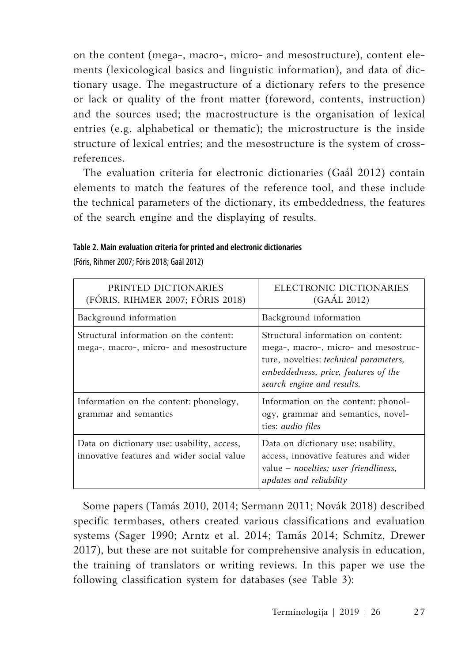on the content (mega-, macro-, micro- and mesostructure), content elements (lexicological basics and linguistic information), and data of dictionary usage. The megastructure of a dictionary refers to the presence or lack or quality of the front matter (foreword, contents, instruction) and the sources used; the macrostructure is the organisation of lexical entries (e.g. alphabetical or thematic); the microstructure is the inside structure of lexical entries; and the mesostructure is the system of crossreferences.

The evaluation criteria for electronic dictionaries (Gaál 2012) contain elements to match the features of the reference tool, and these include the technical parameters of the dictionary, its embeddedness, the features of the search engine and the displaying of results.

| PRINTED DICTIONARIES<br>(FÓRIS, RIHMER 2007; FÓRIS 2018)                                 | ELECTRONIC DICTIONARIES<br>(GAÁL 2012)                                                                                                                                                     |  |
|------------------------------------------------------------------------------------------|--------------------------------------------------------------------------------------------------------------------------------------------------------------------------------------------|--|
| Background information                                                                   | Background information                                                                                                                                                                     |  |
| Structural information on the content:<br>mega-, macro-, micro- and mesostructure        | Structural information on content:<br>mega-, macro-, micro- and mesostruc-<br>ture, novelties: technical parameters,<br>embeddedness, price, features of the<br>search engine and results. |  |
| Information on the content: phonology,<br>grammar and semantics                          | Information on the content: phonol-<br>ogy, grammar and semantics, novel-<br>ties: <i>audio files</i>                                                                                      |  |
| Data on dictionary use: usability, access,<br>innovative features and wider social value | Data on dictionary use: usability,<br>access, innovative features and wider<br>value – <i>novelties: user friendliness</i> ,<br>updates and reliability                                    |  |

**Table 2. Main evaluation criteria for printed and electronic dictionaries** 

(Fóris, Rihmer 2007; Fóris 2018; Gaál 2012)

Some papers (Tamás 2010, 2014; Sermann 2011; Novák 2018) described specific termbases, others created various classifications and evaluation systems (Sager 1990; Arntz et al. 2014; Tamás 2014; Schmitz, Drewer 2017), but these are not suitable for comprehensive analysis in education, the training of translators or writing reviews. In this paper we use the following classification system for databases (see Table 3):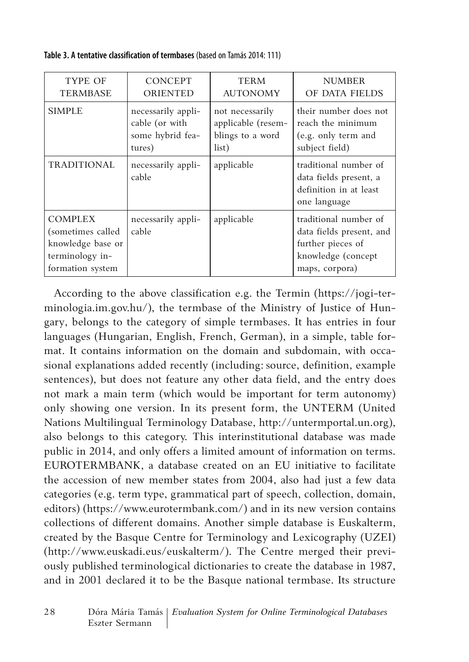**Table 3. A tentative classification of termbases** (based on Tamás 2014: 111)

| TYPE OF                                                                                         | <b>CONCEPT</b>              | <b>TERM</b>        | <b>NUMBER</b>                                                                                                  |
|-------------------------------------------------------------------------------------------------|-----------------------------|--------------------|----------------------------------------------------------------------------------------------------------------|
| <b>TERMBASE</b>                                                                                 | <b>ORIENTED</b>             | <b>AUTONOMY</b>    | OF DATA FIELDS                                                                                                 |
| <b>SIMPLE</b>                                                                                   | necessarily appli-          | not necessarily    | their number does not                                                                                          |
|                                                                                                 | cable (or with              | applicable (resem- | reach the minimum                                                                                              |
|                                                                                                 | some hybrid fea-            | blings to a word   | (e.g. only term and                                                                                            |
|                                                                                                 | tures)                      | list)              | subject field)                                                                                                 |
| TRADITIONAL                                                                                     | necessarily appli-<br>cable | applicable         | traditional number of<br>data fields present, a<br>definition in at least<br>one language                      |
| <b>COMPLEX</b><br>(sometimes called<br>knowledge base or<br>terminology in-<br>formation system | necessarily appli-<br>cable | applicable         | traditional number of<br>data fields present, and<br>further pieces of<br>knowledge (concept<br>maps, corpora) |

According to the above classification e.g. the Termin (https://jogi-terminologia.im.gov.hu/), the termbase of the Ministry of Justice of Hungary, belongs to the category of simple termbases. It has entries in four languages (Hungarian, English, French, German), in a simple, table format. It contains information on the domain and subdomain, with occasional explanations added recently (including: source, definition, example sentences), but does not feature any other data field, and the entry does not mark a main term (which would be important for term autonomy) only showing one version. In its present form, the UNTERM (United Nations Multilingual Terminology Database, http://untermportal.un.org), also belongs to this category. This interinstitutional database was made public in 2014, and only offers a limited amount of information on terms. EUROTERMBANK, a database created on an EU initiative to facilitate the accession of new member states from 2004, also had just a few data categories (e.g. term type, grammatical part of speech, collection, domain, editors) (https://www.eurotermbank.com/) and in its new version contains collections of different domains. Another simple database is Euskalterm, created by the Basque Centre for Terminology and Lexicography (UZEI) (http://www.euskadi.eus/euskalterm/). The Centre merged their previously published terminological dictionaries to create the database in 1987, and in 2001 declared it to be the Basque national termbase. Its structure

2 8 Dóra Mária Tamás *Evaluation System for Online Terminological Databases* Eszter Sermann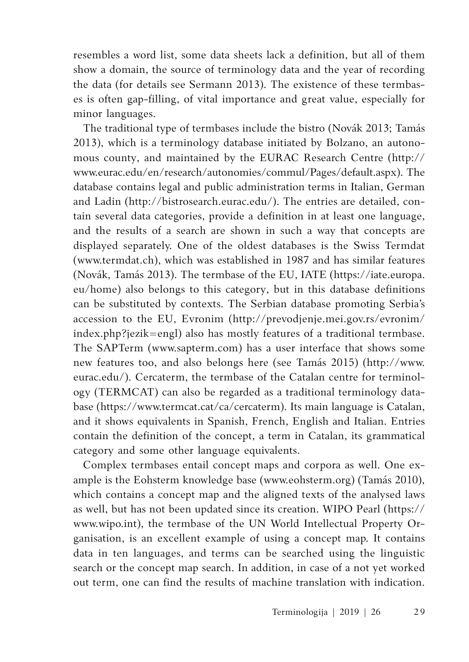resembles a word list, some data sheets lack a definition, but all of them show a domain, the source of terminology data and the year of recording the data (for details see Sermann 2013). The existence of these termbases is often gap-filling, of vital importance and great value, especially for minor languages.

The traditional type of termbases include the bistro (Novák 2013; Tamás 2013), which is a terminology database initiated by Bolzano, an autonomous county, and maintained by the EURAC Research Centre (http:// www.eurac.edu/en/research/autonomies/commul/Pages/default.aspx). The database contains legal and public administration terms in Italian, German and Ladin (http://bistrosearch.eurac.edu/). The entries are detailed, contain several data categories, provide a definition in at least one language, and the results of a search are shown in such a way that concepts are displayed separately. One of the oldest databases is the Swiss Termdat (www.termdat.ch), which was established in 1987 and has similar features (Novák, Tamás 2013). The termbase of the EU, IATE (https://iate.europa. eu/home) also belongs to this category, but in this database definitions can be substituted by contexts. The Serbian database promoting Serbia's accession to the EU, Evronim (http://prevodjenje.mei.gov.rs/evronim/ index.php?jezik=engl) also has mostly features of a traditional termbase. The SAPTerm (www.sapterm.com) has a user interface that shows some new features too, and also belongs here (see Tamás 2015) (http://www. eurac.edu/). Cercaterm, the termbase of the Catalan centre for terminology (TERMCAT) can also be regarded as a traditional terminology database (https://www.termcat.cat/ca/cercaterm). Its main language is Catalan, and it shows equivalents in Spanish, French, English and Italian. Entries contain the definition of the concept, a term in Catalan, its grammatical category and some other language equivalents.

Complex termbases entail concept maps and corpora as well. One example is the Eohsterm knowledge base (www.eohsterm.org) (Tamás 2010), which contains a concept map and the aligned texts of the analysed laws as well, but has not been updated since its creation. WIPO Pearl (https:// www.wipo.int), the termbase of the UN World Intellectual Property Organisation, is an excellent example of using a concept map. It contains data in ten languages, and terms can be searched using the linguistic search or the concept map search. In addition, in case of a not yet worked out term, one can find the results of machine translation with indication.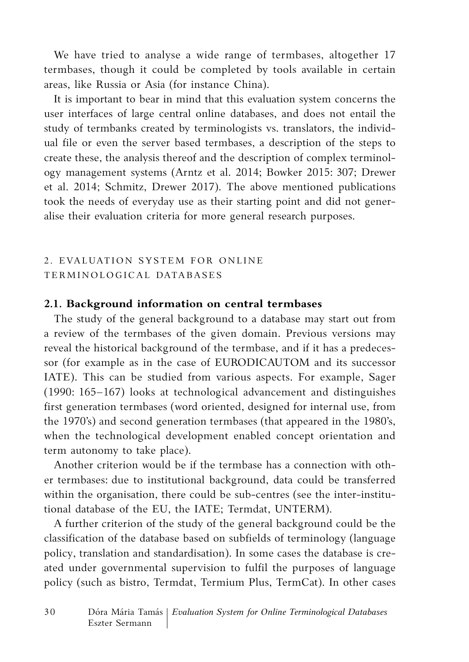We have tried to analyse a wide range of termbases, altogether 17 termbases, though it could be completed by tools available in certain areas, like Russia or Asia (for instance China).

It is important to bear in mind that this evaluation system concerns the user interfaces of large central online databases, and does not entail the study of termbanks created by terminologists vs. translators, the individual file or even the server based termbases, a description of the steps to create these, the analysis thereof and the description of complex terminology management systems (Arntz et al. 2014; Bowker 2015: 307; Drewer et al. 2014; Schmitz, Drewer 2017). The above mentioned publications took the needs of everyday use as their starting point and did not generalise their evaluation criteria for more general research purposes.

## 2. EVALUATION SYSTEM FOR ONLINE TERMINOLOGICAL DATABASES

#### **2.1. Background information on central termbases**

The study of the general background to a database may start out from a review of the termbases of the given domain. Previous versions may reveal the historical background of the termbase, and if it has a predecessor (for example as in the case of EURODICAUTOM and its successor IATE). This can be studied from various aspects. For example, Sager (1990: 165–167) looks at technological advancement and distinguishes first generation termbases (word oriented, designed for internal use, from the 1970's) and second generation termbases (that appeared in the 1980's, when the technological development enabled concept orientation and term autonomy to take place).

Another criterion would be if the termbase has a connection with other termbases: due to institutional background, data could be transferred within the organisation, there could be sub-centres (see the inter-institutional database of the EU, the IATE; Termdat, UNTERM).

A further criterion of the study of the general background could be the classification of the database based on subfields of terminology (language policy, translation and standardisation). In some cases the database is created under governmental supervision to fulfil the purposes of language policy (such as bistro, Termdat, Termium Plus, TermCat). In other cases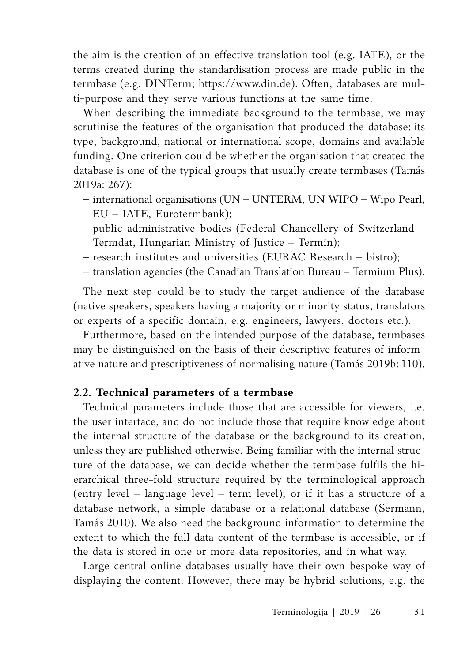the aim is the creation of an effective translation tool (e.g. IATE), or the terms created during the standardisation process are made public in the termbase (e.g. DINTerm; https://www.din.de). Often, databases are multi-purpose and they serve various functions at the same time.

When describing the immediate background to the termbase, we may scrutinise the features of the organisation that produced the database: its type, background, national or international scope, domains and available funding. One criterion could be whether the organisation that created the database is one of the typical groups that usually create termbases (Tamás 2019a: 267):

- international organisations (UN UNTERM, UN WIPO Wipo Pearl, EU – IATE, Eurotermbank);
- public administrative bodies (Federal Chancellery of Switzerland Termdat, Hungarian Ministry of Justice – Termin);
- research institutes and universities (EURAC Research bistro);
- translation agencies (the Canadian Translation Bureau Termium Plus).

The next step could be to study the target audience of the database (native speakers, speakers having a majority or minority status, translators or experts of a specific domain, e.g. engineers, lawyers, doctors etc.).

Furthermore, based on the intended purpose of the database, termbases may be distinguished on the basis of their descriptive features of informative nature and prescriptiveness of normalising nature (Tamás 2019b: 110).

## **2.2. Technical parameters of a termbase**

Technical parameters include those that are accessible for viewers, i.e. the user interface, and do not include those that require knowledge about the internal structure of the database or the background to its creation, unless they are published otherwise. Being familiar with the internal structure of the database, we can decide whether the termbase fulfils the hierarchical three-fold structure required by the terminological approach (entry level – language level – term level); or if it has a structure of a database network, a simple database or a relational database (Sermann, Tamás 2010). We also need the background information to determine the extent to which the full data content of the termbase is accessible, or if the data is stored in one or more data repositories, and in what way.

Large central online databases usually have their own bespoke way of displaying the content. However, there may be hybrid solutions, e.g. the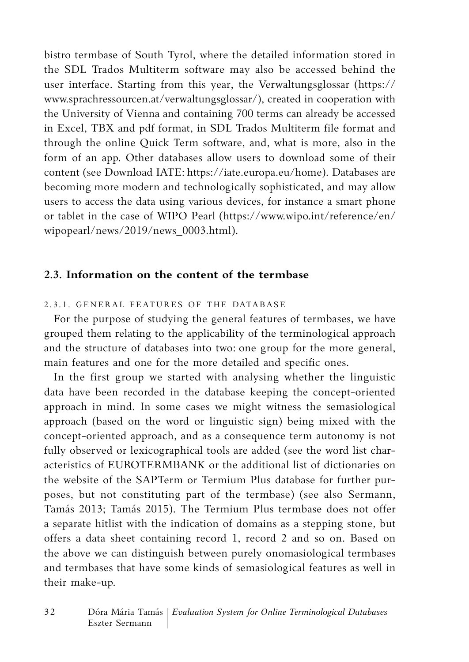bistro termbase of South Tyrol, where the detailed information stored in the SDL Trados Multiterm software may also be accessed behind the user interface. Starting from this year, the Verwaltungsglossar (https:// www.sprachressourcen.at/verwaltungsglossar/), created in cooperation with the University of Vienna and containing 700 terms can already be accessed in Excel, TBX and pdf format, in SDL Trados Multiterm file format and through the online Quick Term software, and, what is more, also in the form of an app. Other databases allow users to download some of their content (see Download IATE: https://iate.europa.eu/home). Databases are becoming more modern and technologically sophisticated, and may allow users to access the data using various devices, for instance a smart phone or tablet in the case of WIPO Pearl (https://www.wipo.int/reference/en/ wipopearl/news/2019/news\_0003.html).

### **2.3. Information on the content of the termbase**

### 2.3.1. General features of the database

For the purpose of studying the general features of termbases, we have grouped them relating to the applicability of the terminological approach and the structure of databases into two: one group for the more general, main features and one for the more detailed and specific ones.

In the first group we started with analysing whether the linguistic data have been recorded in the database keeping the concept-oriented approach in mind. In some cases we might witness the semasiological approach (based on the word or linguistic sign) being mixed with the concept-oriented approach, and as a consequence term autonomy is not fully observed or lexicographical tools are added (see the word list characteristics of EUROTERMBANK or the additional list of dictionaries on the website of the SAPTerm or Termium Plus database for further purposes, but not constituting part of the termbase) (see also Sermann, Tamás 2013; Tamás 2015). The Termium Plus termbase does not offer a separate hitlist with the indication of domains as a stepping stone, but offers a data sheet containing record 1, record 2 and so on. Based on the above we can distinguish between purely onomasiological termbases and termbases that have some kinds of semasiological features as well in their make-up.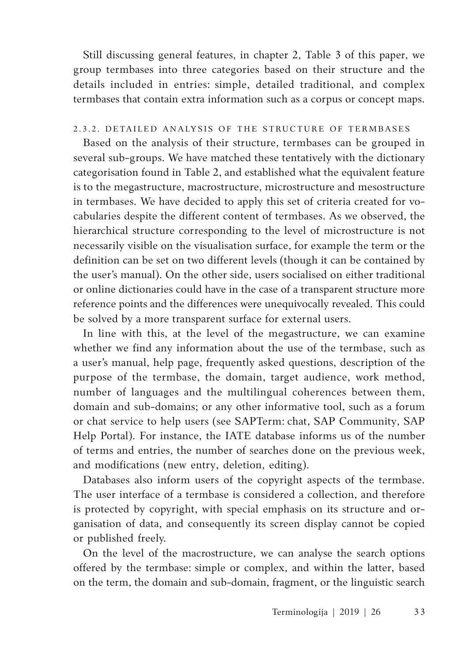Still discussing general features, in chapter 2, Table 3 of this paper, we group termbases into three categories based on their structure and the details included in entries: simple, detailed traditional, and complex termbases that contain extra information such as a corpus or concept maps.

#### 2.3.2. Detailed analysis of the structure of termbases

Based on the analysis of their structure, termbases can be grouped in several sub-groups. We have matched these tentatively with the dictionary categorisation found in Table 2, and established what the equivalent feature is to the megastructure, macrostructure, microstructure and mesostructure in termbases. We have decided to apply this set of criteria created for vocabularies despite the different content of termbases. As we observed, the hierarchical structure corresponding to the level of microstructure is not necessarily visible on the visualisation surface, for example the term or the definition can be set on two different levels (though it can be contained by the user's manual). On the other side, users socialised on either traditional or online dictionaries could have in the case of a transparent structure more reference points and the differences were unequivocally revealed. This could be solved by a more transparent surface for external users.

In line with this, at the level of the megastructure, we can examine whether we find any information about the use of the termbase, such as a user's manual, help page, frequently asked questions, description of the purpose of the termbase, the domain, target audience, work method, number of languages and the multilingual coherences between them, domain and sub-domains; or any other informative tool, such as a forum or chat service to help users (see SAPTerm: chat, SAP Community, SAP Help Portal). For instance, the IATE database informs us of the number of terms and entries, the number of searches done on the previous week, and modifications (new entry, deletion, editing).

Databases also inform users of the copyright aspects of the termbase. The user interface of a termbase is considered a collection, and therefore is protected by copyright, with special emphasis on its structure and organisation of data, and consequently its screen display cannot be copied or published freely.

On the level of the macrostructure, we can analyse the search options offered by the termbase: simple or complex, and within the latter, based on the term, the domain and sub-domain, fragment, or the linguistic search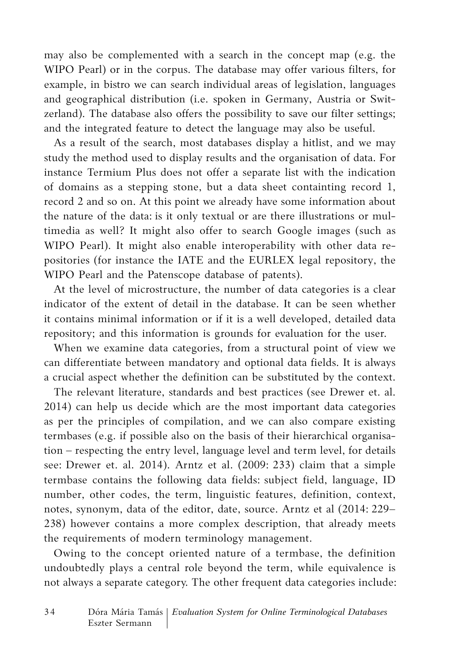may also be complemented with a search in the concept map (e.g. the WIPO Pearl) or in the corpus. The database may offer various filters, for example, in bistro we can search individual areas of legislation, languages and geographical distribution (i.e. spoken in Germany, Austria or Switzerland). The database also offers the possibility to save our filter settings; and the integrated feature to detect the language may also be useful.

As a result of the search, most databases display a hitlist, and we may study the method used to display results and the organisation of data. For instance Termium Plus does not offer a separate list with the indication of domains as a stepping stone, but a data sheet containting record 1, record 2 and so on. At this point we already have some information about the nature of the data: is it only textual or are there illustrations or multimedia as well? It might also offer to search Google images (such as WIPO Pearl). It might also enable interoperability with other data repositories (for instance the IATE and the EURLEX legal repository, the WIPO Pearl and the Patenscope database of patents).

At the level of microstructure, the number of data categories is a clear indicator of the extent of detail in the database. It can be seen whether it contains minimal information or if it is a well developed, detailed data repository; and this information is grounds for evaluation for the user.

When we examine data categories, from a structural point of view we can differentiate between mandatory and optional data fields. It is always a crucial aspect whether the definition can be substituted by the context.

The relevant literature, standards and best practices (see Drewer et. al. 2014) can help us decide which are the most important data categories as per the principles of compilation, and we can also compare existing termbases (e.g. if possible also on the basis of their hierarchical organisation – respecting the entry level, language level and term level, for details see: Drewer et. al. 2014). Arntz et al. (2009: 233) claim that a simple termbase contains the following data fields: subject field, language, ID number, other codes, the term, linguistic features, definition, context, notes, synonym, data of the editor, date, source. Arntz et al (2014: 229– 238) however contains a more complex description, that already meets the requirements of modern terminology management.

Owing to the concept oriented nature of a termbase, the definition undoubtedly plays a central role beyond the term, while equivalence is not always a separate category. The other frequent data categories include: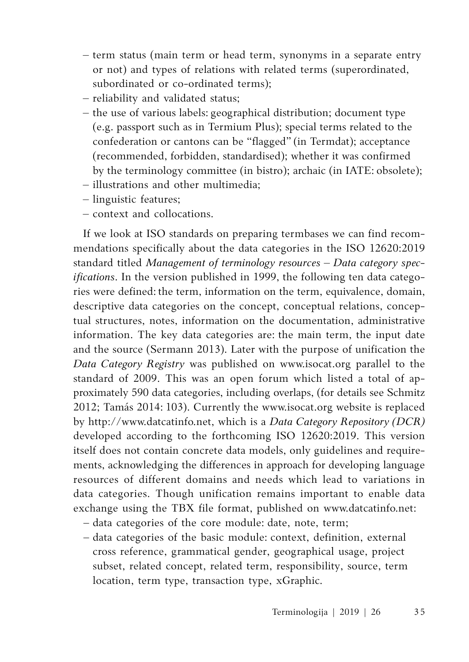- term status (main term or head term, synonyms in a separate entry or not) and types of relations with related terms (superordinated, subordinated or co-ordinated terms);
- reliability and validated status;
- the use of various labels: geographical distribution; document type (e.g. passport such as in Termium Plus); special terms related to the confederation or cantons can be "flagged" (in Termdat); acceptance (recommended, forbidden, standardised); whether it was confirmed by the terminology committee (in bistro); archaic (in IATE: obsolete);
- illustrations and other multimedia;
- linguistic features;
- context and collocations.

If we look at ISO standards on preparing termbases we can find recommendations specifically about the data categories in the ISO 12620:2019 standard titled Management of terminology resources - Data category spec*ifications*. In the version published in 1999, the following ten data categories were defined: the term, information on the term, equivalence, domain, descriptive data categories on the concept, conceptual relations, conceptual structures, notes, information on the documentation, administrative information. The key data categories are: the main term, the input date and the source (Sermann 2013). Later with the purpose of unification the *Data Category Registry* was published on www.isocat.org parallel to the standard of 2009. This was an open forum which listed a total of approximately 590 data categories, including overlaps, (for details see Schmitz 2012; Tamás 2014: 103). Currently the www.isocat.org website is replaced by http://www.datcatinfo.net, which is a *Data Category Repository (DCR)* developed according to the forthcoming ISO 12620:2019. This version itself does not contain concrete data models, only guidelines and requirements, acknowledging the differences in approach for developing language resources of different domains and needs which lead to variations in data categories. Though unification remains important to enable data exchange using the TBX file format, published on www.datcatinfo.net:

- data categories of the core module: date, note, term;
- data categories of the basic module: context, definition, external cross reference, grammatical gender, geographical usage, project subset, related concept, related term, responsibility, source, term location, term type, transaction type, xGraphic.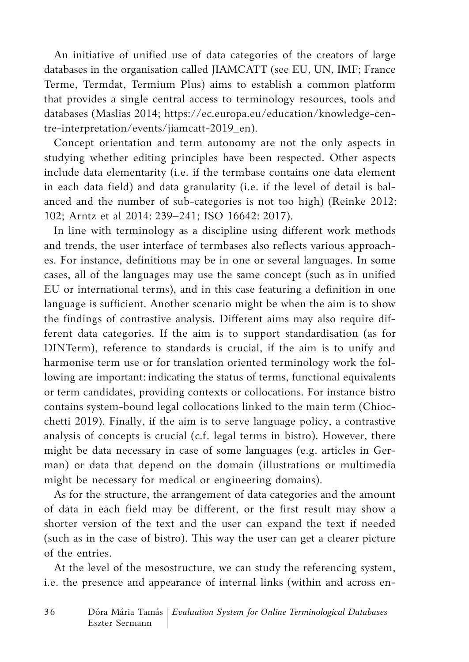An initiative of unified use of data categories of the creators of large databases in the organisation called JIAMCATT (see EU, UN, IMF; France Terme, Termdat, Termium Plus) aims to establish a common platform that provides a single central access to terminology resources, tools and databases (Maslias 2014; https://ec.europa.eu/education/knowledge-centre-interpretation/events/jiamcatt-2019\_en).

Concept orientation and term autonomy are not the only aspects in studying whether editing principles have been respected. Other aspects include data elementarity (i.e. if the termbase contains one data element in each data field) and data granularity (i.e. if the level of detail is balanced and the number of sub-categories is not too high) (Reinke 2012: 102; Arntz et al 2014: 239–241; ISO 16642: 2017).

In line with terminology as a discipline using different work methods and trends, the user interface of termbases also reflects various approaches. For instance, definitions may be in one or several languages. In some cases, all of the languages may use the same concept (such as in unified EU or international terms), and in this case featuring a definition in one language is sufficient. Another scenario might be when the aim is to show the findings of contrastive analysis. Different aims may also require different data categories. If the aim is to support standardisation (as for DINTerm), reference to standards is crucial, if the aim is to unify and harmonise term use or for translation oriented terminology work the following are important: indicating the status of terms, functional equivalents or term candidates, providing contexts or collocations. For instance bistro contains system-bound legal collocations linked to the main term (Chiocchetti 2019). Finally, if the aim is to serve language policy, a contrastive analysis of concepts is crucial (c.f. legal terms in bistro). However, there might be data necessary in case of some languages (e.g. articles in German) or data that depend on the domain (illustrations or multimedia might be necessary for medical or engineering domains).

As for the structure, the arrangement of data categories and the amount of data in each field may be different, or the first result may show a shorter version of the text and the user can expand the text if needed (such as in the case of bistro). This way the user can get a clearer picture of the entries.

At the level of the mesostructure, we can study the referencing system, i.e. the presence and appearance of internal links (within and across en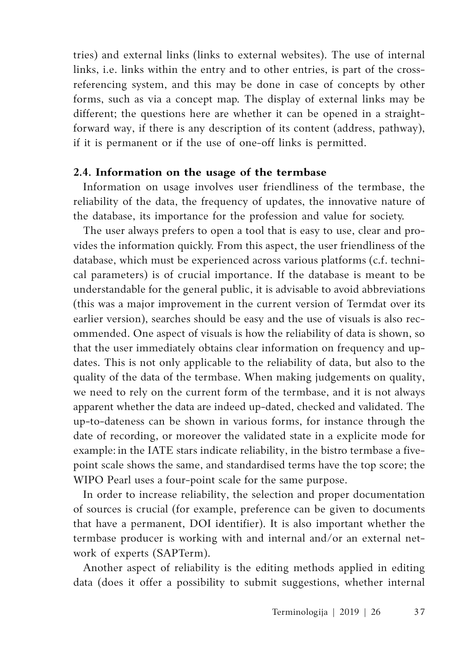tries) and external links (links to external websites). The use of internal links, i.e. links within the entry and to other entries, is part of the crossreferencing system, and this may be done in case of concepts by other forms, such as via a concept map. The display of external links may be different; the questions here are whether it can be opened in a straightforward way, if there is any description of its content (address, pathway), if it is permanent or if the use of one-off links is permitted.

#### **2.4. Information on the usage of the termbase**

Information on usage involves user friendliness of the termbase, the reliability of the data, the frequency of updates, the innovative nature of the database, its importance for the profession and value for society.

The user always prefers to open a tool that is easy to use, clear and provides the information quickly. From this aspect, the user friendliness of the database, which must be experienced across various platforms (c.f. technical parameters) is of crucial importance. If the database is meant to be understandable for the general public, it is advisable to avoid abbreviations (this was a major improvement in the current version of Termdat over its earlier version), searches should be easy and the use of visuals is also recommended. One aspect of visuals is how the reliability of data is shown, so that the user immediately obtains clear information on frequency and updates. This is not only applicable to the reliability of data, but also to the quality of the data of the termbase. When making judgements on quality, we need to rely on the current form of the termbase, and it is not always apparent whether the data are indeed up-dated, checked and validated. The up-to-dateness can be shown in various forms, for instance through the date of recording, or moreover the validated state in a explicite mode for example: in the IATE stars indicate reliability, in the bistro termbase a fivepoint scale shows the same, and standardised terms have the top score; the WIPO Pearl uses a four-point scale for the same purpose.

In order to increase reliability, the selection and proper documentation of sources is crucial (for example, preference can be given to documents that have a permanent, DOI identifier). It is also important whether the termbase producer is working with and internal and/or an external network of experts (SAPTerm).

Another aspect of reliability is the editing methods applied in editing data (does it offer a possibility to submit suggestions, whether internal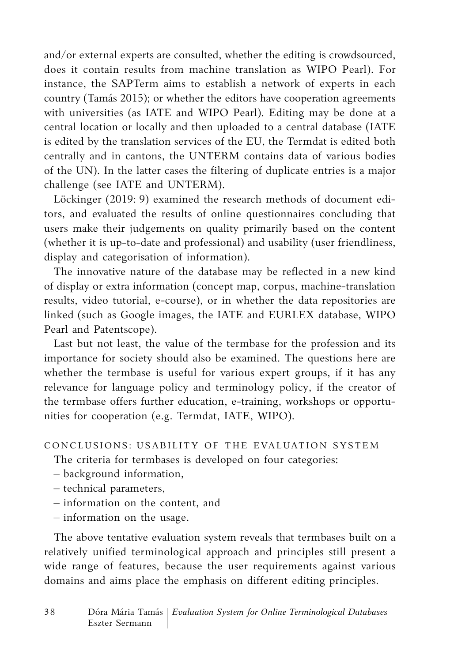and/or external experts are consulted, whether the editing is crowdsourced, does it contain results from machine translation as WIPO Pearl). For instance, the SAPTerm aims to establish a network of experts in each country (Tamás 2015); or whether the editors have cooperation agreements with universities (as IATE and WIPO Pearl). Editing may be done at a central location or locally and then uploaded to a central database (IATE is edited by the translation services of the EU, the Termdat is edited both centrally and in cantons, the UNTERM contains data of various bodies of the UN). In the latter cases the filtering of duplicate entries is a major challenge (see IATE and UNTERM).

Löckinger (2019: 9) examined the research methods of document editors, and evaluated the results of online questionnaires concluding that users make their judgements on quality primarily based on the content (whether it is up-to-date and professional) and usability (user friendliness, display and categorisation of information).

The innovative nature of the database may be reflected in a new kind of display or extra information (concept map, corpus, machine-translation results, video tutorial, e-course), or in whether the data repositories are linked (such as Google images, the IATE and EURLEX database, WIPO Pearl and Patentscope).

Last but not least, the value of the termbase for the profession and its importance for society should also be examined. The questions here are whether the termbase is useful for various expert groups, if it has any relevance for language policy and terminology policy, if the creator of the termbase offers further education, e-training, workshops or opportunities for cooperation (e.g. Termdat, IATE, WIPO).

## CONCLUSIONS: USABILITY OF THE EVALUATION SYSTEM

The criteria for termbases is developed on four categories:

- background information,
- technical parameters,
- information on the content, and
- information on the usage.

The above tentative evaluation system reveals that termbases built on a relatively unified terminological approach and principles still present a wide range of features, because the user requirements against various domains and aims place the emphasis on different editing principles.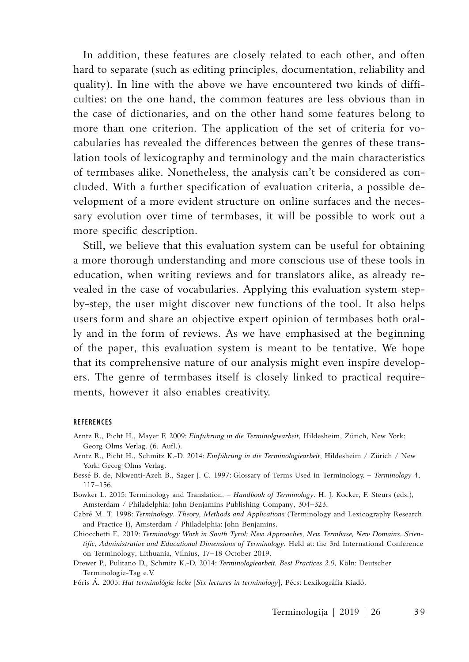In addition, these features are closely related to each other, and often hard to separate (such as editing principles, documentation, reliability and quality). In line with the above we have encountered two kinds of difficulties: on the one hand, the common features are less obvious than in the case of dictionaries, and on the other hand some features belong to more than one criterion. The application of the set of criteria for vocabularies has revealed the differences between the genres of these translation tools of lexicography and terminology and the main characteristics of termbases alike. Nonetheless, the analysis can't be considered as concluded. With a further specification of evaluation criteria, a possible development of a more evident structure on online surfaces and the necessary evolution over time of termbases, it will be possible to work out a more specific description.

Still, we believe that this evaluation system can be useful for obtaining a more thorough understanding and more conscious use of these tools in education, when writing reviews and for translators alike, as already revealed in the case of vocabularies. Applying this evaluation system stepby-step, the user might discover new functions of the tool. It also helps users form and share an objective expert opinion of termbases both orally and in the form of reviews. As we have emphasised at the beginning of the paper, this evaluation system is meant to be tentative. We hope that its comprehensive nature of our analysis might even inspire developers. The genre of termbases itself is closely linked to practical requirements, however it also enables creativity.

#### **REFERENCES**

- Arntz R., Picht H., Mayer F. 2009: *Einfuhrung in die Terminolgiearbeit*, Hildesheim, Zürich, New York: Georg Olms Verlag. (6. Aufl.).
- Arntz R., Picht H., Schmitz K.-D. 2014: *Einführung in die Terminologiearbeit*, Hildesheim / Zürich / New York: Georg Olms Verlag.
- Bessé B. de, Nkwenti-Azeh B., Sager J. C. 1997: Glossary of Terms Used in Terminology. *Terminology* 4, 117–156.

Bowker L. 2015: Terminology and Translation. – *Handbook of Terminology*. H. J. Kocker, F. Steurs (eds.), Amsterdam / Philadelphia: John Benjamins Publishing Company, 304–323.

- Cabré M. T. 1998: *Terminology. Theory, Methods and Applications* (Terminology and Lexicography Research and Practice I), Amsterdam / Philadelphia: John Benjamins.
- Chiocchetti E. 2019: *Terminology Work in South Tyrol: New Approaches, New Termbase, New Domains. Scientific, Administrative and Educational Dimensions of Terminology.* Held at: the 3rd International Conference on Terminology, Lithuania, Vilnius, 17–18 October 2019.

Drewer P., Pulitano D., Schmitz K.-D. 2014: *Terminologiearbeit. Best Practices 2.0*, Köln: Deutscher Terminologie-Tag e.V.

Fóris Á. 2005: *Hat terminológia lecke* [*Six lectures in terminology*], Pécs: Lexikográfia Kiadó.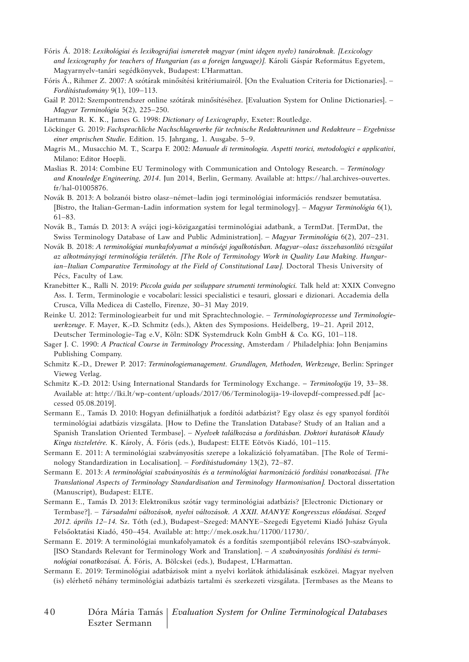- Fóris Á. 2018: *Lexikológiai és lexikográfiai ismeretek magyar (mint idegen nyelv) tanároknak. [Lexicology and lexicography for teachers of Hungarian (as a foreign language)]*. Károli Gáspár Református Egyetem, Magyarnyelv-tanári segédkönyvek, Budapest: L'Harmattan.
- Fóris Á., Rihmer Z. 2007: A szótárak minősítési kritériumairól. [On the Evaluation Criteria for Dictionaries]. *Fordítástudomány* 9(1), 109–113.
- Gaál P. 2012: Szempontrendszer online szótárak minősítéséhez. [Evaluation System for Online Dictionaries]. *Magyar Terminológia* 5(2), 225–250.
- Hartmann R. K. K., James G. 1998: *Dictionary of Lexicography*, Exeter: Routledge.
- Löckinger G. 2019: Fachsprachliche Nachschlagewerke für technische Redakteurinnen und Redakteure Ergebnisse *einer emprischen Studie*. Edition. 15. Jahrgang, 1. Ausgabe. 5–9.
- Magris M., Musacchio M. T., Scarpa F. 2002: *Manuale di terminologia. Aspetti teorici, metodologici e applicativi*, Milano: Editor Hoepli.
- Maslias R. 2014: Combine EU Terminology with Communication and Ontology Research. *Terminology and Knowledge Engineering, 2014*. Jun 2014, Berlin, Germany. Available at: https://hal.archives-ouvertes. fr/hal-01005876.
- Novák B. 2013: A bolzanói bistro olasz–német–ladin jogi terminológiai információs rendszer bemutatása. [Bistro, the Italian-German-Ladin information system for legal terminology]. – *Magyar Terminológia* 6(1), 61–83.
- Novák B., Tamás D. 2013: A svájci jogi-közigazgatási terminológiai adatbank, a TermDat. [TermDat, the Swiss Terminology Database of Law and Public Administration]. – *Magyar Terminológia* 6(2), 207–231.
- Novák B. 2018: *A terminológiai munkafolyamat a minőségi jogalkotásban. Magyar–olasz összehasonlító vizsgálat az alkotmányjogi terminológia területén. [The Role of Terminology Work in Quality Law Making. Hungarian–Italian Comparative Terminology at the Field of Constitutional Law].* Doctoral Thesis University of Pécs, Faculty of Law.
- Kranebitter K., Ralli N. 2019: *Piccola guida per sviluppare strumenti terminologici.* Talk held at: XXIX Convegno Ass. I. Term, Terminologie e vocabolari: lessici specialistici e tesauri, glossari e dizionari. Accademia della Crusca, Villa Medicea di Castello, Firenze, 30–31 May 2019.
- Reinke U. 2012: Terminologiearbeit fur und mit Sprachtechnologie. *Terminologieprozesse und Terminologiewerkzeuge*. F. Mayer, K.-D. Schmitz (eds.), Akten des Symposions. Heidelberg, 19–21. April 2012, Deutscher Terminologie-Tag e.V, Köln: SDK Systemdruck Koln GmbH & Co. KG, 101–118.
- Sager J. C. 1990: *A Practical Course in Terminology Processing*, Amsterdam / Philadelphia: John Benjamins Publishing Company.
- Schmitz K.-D., Drewer P. 2017: *Terminologiemanagement. Grundlagen, Methoden, Werkzeuge*, Berlin: Springer Vieweg Verlag.
- Schmitz K.-D. 2012: Using International Standards for Terminology Exchange. *Terminologija* 19, 33–38. Available at: http://lki.lt/wp-content/uploads/2017/06/Terminologija-19-ilovepdf-compressed.pdf [accessed 05.08.2019].
- Sermann E., Tamás D. 2010: Hogyan definiálhatjuk a fordítói adatbázist? Egy olasz és egy spanyol fordítói terminológiai adatbázis vizsgálata. [How to Define the Translation Database? Study of an Italian and a Spanish Translation Oriented Termbase]. – *Nyelvek találkozása a fordításban. Doktori kutatások Klaudy Kinga tiszteletére.* K. Károly, Á. Fóris (eds.), Budapest: ELTE Eötvös Kiadó, 101–115.
- Sermann E. 2011: A terminológiai szabványosítás szerepe a lokalizáció folyamatában. [The Role of Terminology Standardization in Localisation]. – *Fordítástudomány* 13(2), 72–87.
- Sermann E. 2013: *A terminológiai szabványosítás és a terminológiai harmonizáció fordítási vonatkozásai. [The Translational Aspects of Terminology Standardisation and Terminology Harmonisation].* Doctoral dissertation (Manuscript), Budapest: ELTE.
- Sermann E., Tamás D. 2013: Elektronikus szótár vagy terminológiai adatbázis? [Electronic Dictionary or Termbase?]. – *Társadalmi változások, nyelvi változások. A XXII. MANYE Kongresszus előadásai. Szeged 2012. április 12–14.* Sz. Tóth (ed.), Budapest–Szeged: MANYE–Szegedi Egyetemi Kiadó Juhász Gyula Felsőoktatási Kiadó, 450–454. Available at: http://mek.oszk.hu/11700/11730/.
- Sermann E. 2019: A terminológiai munkafolyamatok és a fordítás szempontjából releváns ISO-szabványok. [ISO Standards Relevant for Terminology Work and Translation]. – *A szabványosítás fordítási és terminológiai vonatkozásai.* Á. Fóris, A. Bölcskei (eds.), Budapest, L'Harmattan.
- Sermann E. 2019: Terminológiai adatbázisok mint a nyelvi korlátok áthidalásának eszközei. Magyar nyelven (is) elérhető néhány terminológiai adatbázis tartalmi és szerkezeti vizsgálata. [Termbases as the Means to
- 4 0 Dóra Mária Tamás *Evaluation System for Online Terminological Databases* Eszter Sermann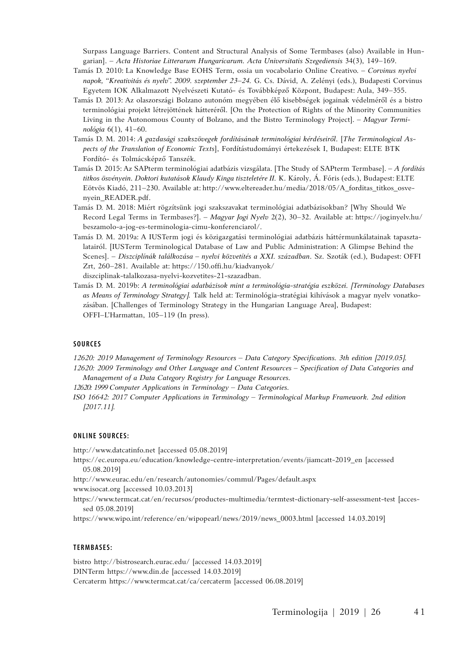Surpass Language Barriers. Content and Structural Analysis of Some Termbases (also) Available in Hungarian]. – *Acta Historiae Litterarum Hungaricarum. Acta Universitatis Szegediensis* 34(3), 149–169.

- Tamás D. 2010: La Knowledge Base EOHS Term, ossia un vocabolario Online Creativo. *Corvinus nyelvi napok, "Kreativitás és nyelv". 2009. szeptember 23–24.* G. Cs. Dávid, A. Zelényi (eds.), Budapesti Corvinus Egyetem IOK Alkalmazott Nyelvészeti Kutató- és Továbbképző Központ, Budapest: Aula, 349–355.
- Tamás D. 2013: Az olaszországi Bolzano autonóm megyében élő kisebbségek jogainak védelméről és a bistro terminológiai projekt létrejöttének hátteréről. [On the Protection of Rights of the Minority Communities Living in the Autonomous County of Bolzano, and the Bistro Terminology Project]. – *Magyar Terminológia* 6(1), 41–60.
- Tamás D. M. 2014: *A gazdasági szakszövegek fordításának terminológiai kérdéseiről*. [*The Terminological Aspects of the Translation of Economic Texts*], Fordítástudományi értekezések I, Budapest: ELTE BTK Fordító- és Tolmácsképző Tanszék.
- Tamás D. 2015: Az SAPterm terminológiai adatbázis vizsgálata. [The Study of SAPterm Termbase]. *A fordítás titkos ösvényein. Doktori kutatások Klaudy Kinga tiszteletére II.* K. Károly, Á. Fóris (eds.), Budapest: ELTE Eötvös Kiadó, 211–230. Available at: http://www.eltereader.hu/media/2018/05/A\_forditas\_titkos\_osvenyein\_READER.pdf.
- Tamás D. M. 2018: Miért rögzítsünk jogi szakszavakat terminológiai adatbázisokban? [Why Should We Record Legal Terms in Termbases?]. – *Magyar Jogi Nyelv* 2(2), 30–32. Available at: https://joginyelv.hu/ beszamolo-a-jog-es-terminologia-cimu-konferenciarol/.
- Tamás D. M. 2019a: A IUSTerm jogi és közigazgatási terminológiai adatbázis háttérmunkálatainak tapasztalatairól. [IUSTerm Terminological Database of Law and Public Administration: A Glimpse Behind the Scenes]. – *Diszciplínák találkozása – nyelvi közvetítés a XXI. században*. Sz. Szoták (ed.), Budapest: OFFI Zrt, 260–281. Available at: https://150.offi.hu/kiadvanyok/
- diszciplinak-talalkozasa-nyelvi-kozvetites-21-szazadban.
- Tamás D. M. 2019b: *A terminológiai adatbázisok mint a terminológia-stratégia eszközei. [Terminology Databases as Means of Terminology Strategy].* Talk held at: Terminológia-stratégiai kihívások a magyar nyelv vonatkozásában. [Challenges of Terminology Strategy in the Hungarian Language Area], Budapest: OFFI–L'Harmattan, 105–119 (In press).

#### **SOURCES**

*12620: 2019 Management of Terminology Resources ‒ Data Category Specifications. 3th edition [2019.05].*

*12620: 2009 Terminology and Other Language and Content Resources – Specification of Data Categories and Management of a Data Category Registry for Language Resources.*

12620: 1999 Computer Applications in Terminology - Data Categories.

*ISO 16642: 2017 Computer Applications in Terminology ‒ Terminological Markup Framework. 2nd edition [2017.11].*

#### **Online sources:**

http://www.datcatinfo.net [accessed 05.08.2019]

https://ec.europa.eu/education/knowledge-centre-interpretation/events/jiamcatt-2019\_en [accessed 05.08.2019]

http://www.eurac.edu/en/research/autonomies/commul/Pages/default.aspx www.isocat.org [accessed 10.03.2013]

https://www.termcat.cat/en/recursos/productes-multimedia/termtest-dictionary-self-assessment-test [accessed 05.08.2019]

https://www.wipo.int/reference/en/wipopearl/news/2019/news\_0003.html [accessed 14.03.2019]

#### **T e r m b a s e s :**

bistro http://bistrosearch.eurac.edu/ [accessed 14.03.2019] DINTerm https://www.din.de [accessed 14.03.2019] Cercaterm https://www.termcat.cat/ca/cercaterm [accessed 06.08.2019]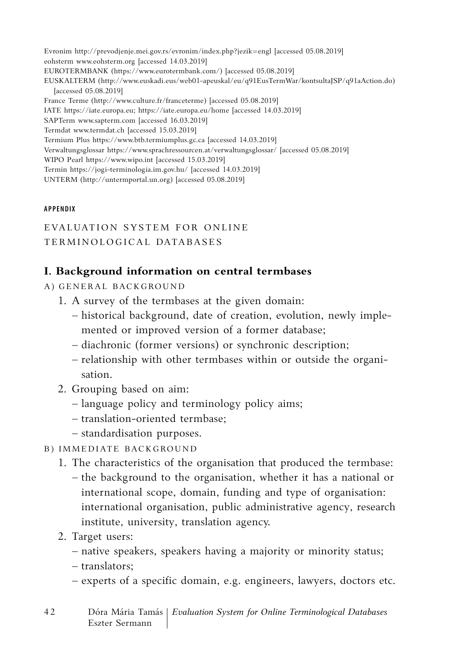Evronim http://prevodjenje.mei.gov.rs/evronim/index.php?jezik=engl [accessed 05.08.2019] eohsterm www.eohsterm.org [accessed 14.03.2019] EUROTERMBANK (https://www.eurotermbank.com/) [accessed 05.08.2019] EUSKALTERM (http://www.euskadi.eus/web01-apeuskal/eu/q91EusTermWar/kontsultaJSP/q91aAction.do) [accessed 05.08.2019] France Terme (http://www.culture.fr/franceterme) [accessed 05.08.2019] IATE https://iate.europa.eu; https://iate.europa.eu/home [accessed 14.03.2019] SAPTerm www.sapterm.com [accessed 16.03.2019] Termdat www.termdat.ch [accessed 15.03.2019] Termium Plus https://www.btb.termiumplus.gc.ca [accessed 14.03.2019] Verwaltungsglossar https://www.sprachressourcen.at/verwaltungsglossar/ [accessed 05.08.2019] WIPO Pearl https://www.wipo.int [accessed 15.03.2019] Termin https://jogi-terminologia.im.gov.hu/ [accessed 14.03.2019] UNTERM (http://untermportal.un.org) [accessed 05.08.2019]

#### **AP PENDIX**

EVALUATION SYSTEM FOR ONLINE TERMINOLOGICAL DATABASES

## **I. Background information on central termbases**

- A) GENERAL BACKGROUND
	- 1. A survey of the termbases at the given domain:
		- historical background, date of creation, evolution, newly implemented or improved version of a former database;
		- diachronic (former versions) or synchronic description;
		- relationship with other termbases within or outside the organisation.
	- 2. Grouping based on aim:
		- language policy and terminology policy aims;
		- translation-oriented termbase;
		- standardisation purposes.
- B) Immediate background
	- 1. The characteristics of the organisation that produced the termbase: – the background to the organisation, whether it has a national or international scope, domain, funding and type of organisation: international organisation, public administrative agency, research institute, university, translation agency.
	- 2. Target users:
		- native speakers, speakers having a majority or minority status;
		- translators;
		- experts of a specific domain, e.g. engineers, lawyers, doctors etc.
- 4 2 Dóra Mária Tamás *Evaluation System for Online Terminological Databases* Eszter Sermann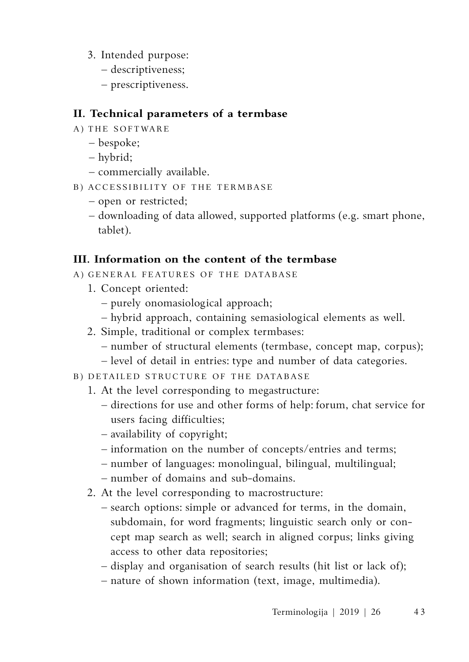- 3. Intended purpose:
	- descriptiveness;
	- prescriptiveness.

## **II. Technical parameters of a termbase**

- A) THE SOFTWARE
	- bespoke;
	- hybrid;
	- commercially available.
- B) Accessibility of the termbase
	- open or restricted;
	- downloading of data allowed, supported platforms (e.g. smart phone, tablet).

# **III. Information on the content of the termbase**

- A) GENERAL FEATURES OF THE DATABASE
	- 1. Concept oriented:
		- purely onomasiological approach;
		- hybrid approach, containing semasiological elements as well.
	- 2. Simple, traditional or complex termbases:
		- number of structural elements (termbase, concept map, corpus);
		- level of detail in entries: type and number of data categories.
- B) Detailed structure of the database
	- 1. At the level corresponding to megastructure:
		- directions for use and other forms of help: forum, chat service for users facing difficulties;
		- availability of copyright;
		- information on the number of concepts/entries and terms;
		- number of languages: monolingual, bilingual, multilingual;
		- number of domains and sub-domains.
	- 2. At the level corresponding to macrostructure:
		- search options: simple or advanced for terms, in the domain, subdomain, for word fragments; linguistic search only or concept map search as well; search in aligned corpus; links giving access to other data repositories;
		- display and organisation of search results (hit list or lack of);
		- nature of shown information (text, image, multimedia).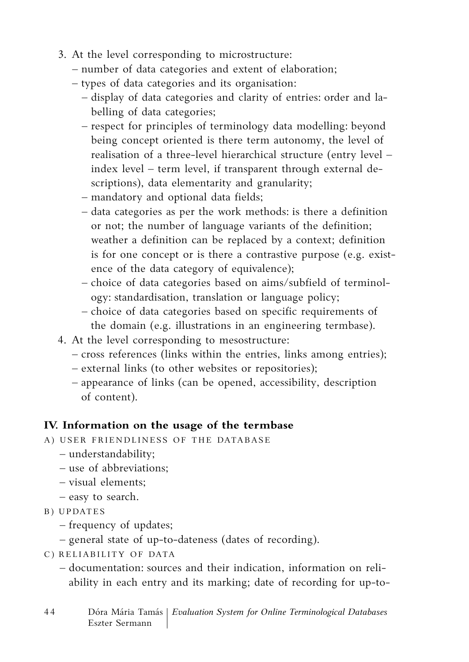- 3. At the level corresponding to microstructure:
	- number of data categories and extent of elaboration;
	- types of data categories and its organisation:
		- display of data categories and clarity of entries: order and labelling of data categories;
		- respect for principles of terminology data modelling: beyond being concept oriented is there term autonomy, the level of realisation of a three-level hierarchical structure (entry level – index level – term level, if transparent through external descriptions), data elementarity and granularity;
		- mandatory and optional data fields;
		- data categories as per the work methods: is there a definition or not; the number of language variants of the definition; weather a definition can be replaced by a context; definition is for one concept or is there a contrastive purpose (e.g. existence of the data category of equivalence);
		- choice of data categories based on aims/subfield of terminology: standardisation, translation or language policy;
		- choice of data categories based on specific requirements of the domain (e.g. illustrations in an engineering termbase).
- 4. At the level corresponding to mesostructure:
	- cross references (links within the entries, links among entries);
	- external links (to other websites or repositories);
	- appearance of links (can be opened, accessibility, description of content).

# **IV. Information on the usage of the termbase**

- A) User friendliness of the database
	- understandability;
	- use of abbreviations;
	- visual elements;
	- easy to search.
- B) Updates
	- frequency of updates;
	- general state of up-to-dateness (dates of recording).
- C ) Reliability of data
	- documentation: sources and their indication, information on reliability in each entry and its marking; date of recording for up-to-
- 4 4 Dóra Mária Tamás *Evaluation System for Online Terminological Databases* Eszter Sermann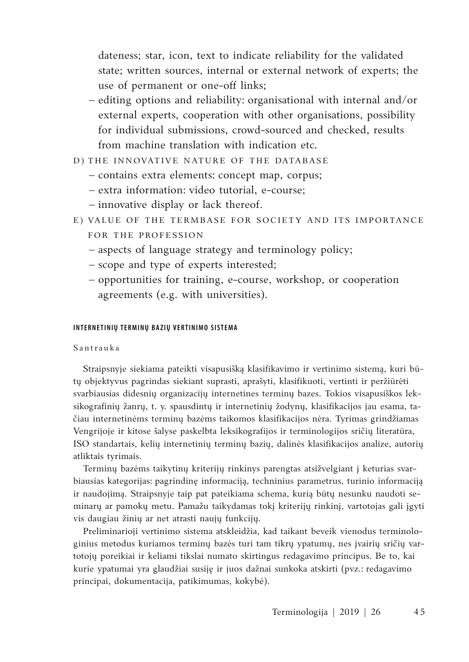dateness; star, icon, text to indicate reliability for the validated state; written sources, internal or external network of experts; the use of permanent or one-off links;

- editing options and reliability: organisational with internal and/or external experts, cooperation with other organisations, possibility for individual submissions, crowd-sourced and checked, results from machine translation with indication etc.
- D) THE INNOVATIVE NATURE OF THE DATABASE
	- contains extra elements: concept map, corpus;
	- extra information: video tutorial, e-course;
	- innovative display or lack thereof.
- E) Value of the termbase for society and its importance for the profession
	- aspects of language strategy and terminology policy;
	- scope and type of experts interested;
	- opportunities for training, e-course, workshop, or cooperation agreements (e.g. with universities).

#### **Internetinių terminų bazių vertinimo sistema**

#### Santrauka

Straipsnyje siekiama pateikti visapusišką klasifikavimo ir vertinimo sistemą, kuri būtų objektyvus pagrindas siekiant suprasti, aprašyti, klasifikuoti, vertinti ir peržiūrėti svarbiausias didesnių organizacijų internetines terminų bazes. Tokios visapusiškos leksikografinių žanrų, t. y. spausdintų ir internetinių žodynų, klasifikacijos jau esama, tačiau internetinėms terminų bazėms taikomos klasifikacijos nėra. Tyrimas grindžiamas Vengrijoje ir kitose šalyse paskelbta leksikografijos ir terminologijos sričių literatūra, ISO standartais, kelių internetinių terminų bazių, dalinės klasifikacijos analize, autorių atliktais tyrimais.

Terminų bazėms taikytinų kriterijų rinkinys parengtas atsižvelgiant į keturias svarbiausias kategorijas: pagrindinę informaciją, techninius parametrus, turinio informaciją ir naudojimą. Straipsnyje taip pat pateikiama schema, kurią būtų nesunku naudoti seminarų ar pamokų metu. Pamažu taikydamas tokį kriterijų rinkinį, vartotojas gali įgyti vis daugiau žinių ar net atrasti naujų funkcijų.

Preliminarioji vertinimo sistema atskleidžia, kad taikant beveik vienodus terminologinius metodus kuriamos terminų bazės turi tam tikrų ypatumų, nes įvairių sričių vartotojų poreikiai ir keliami tikslai numato skirtingus redagavimo principus. Be to, kai kurie ypatumai yra glaudžiai susiję ir juos dažnai sunkoka atskirti (pvz.: redagavimo principai, dokumentacija, patikimumas, kokybė).